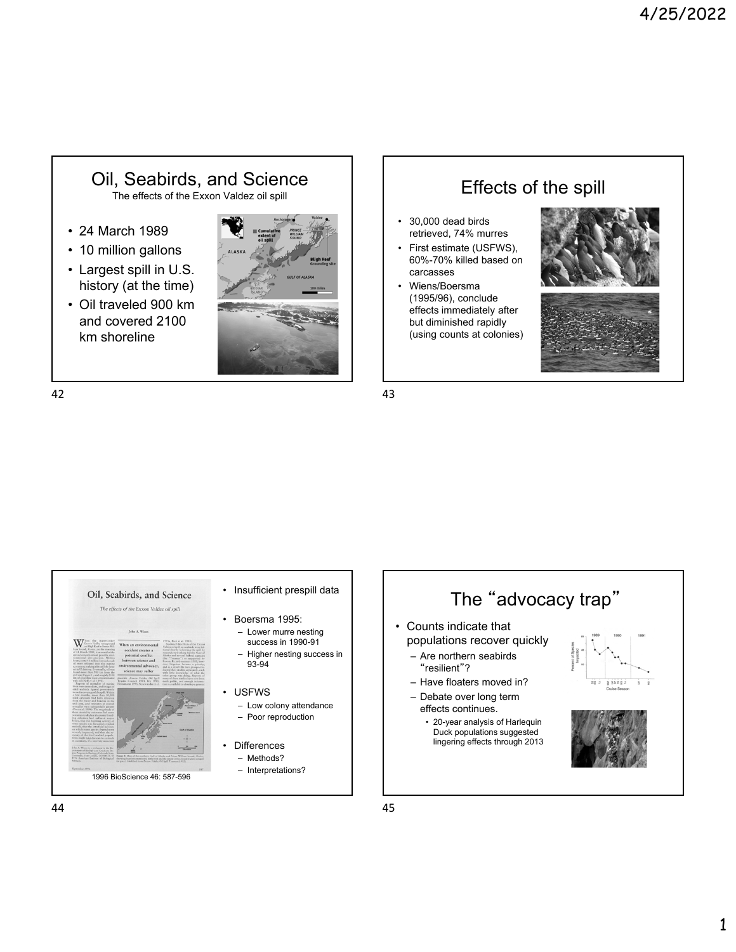## Oil, Seabirds, and Science The effects of the Exxon Valdez oil spill

- 24 March 1989
- 10 million gallons
- Largest spill in U.S. history (at the time)
- Oil traveled 900 km and covered 2100 km shoreline



## Effects of the spill

- 30,000 dead birds retrieved, 74% murres
- First estimate (USFWS), 60%-70% killed based on carcasses
- Wiens/Boersma (1995/96), conclude effects immediately after but diminished rapidly (using counts at colonies)





 $42$  43



- Insufficient prespill data
	- Boersma 1995: – Lower murre nesting success in 1990-91 – Higher nesting success in 93-94
- USFWS
	- Low colony attendance – Poor reproduction
	- **Differences** – Methods?
	- Interpretations?



 $44$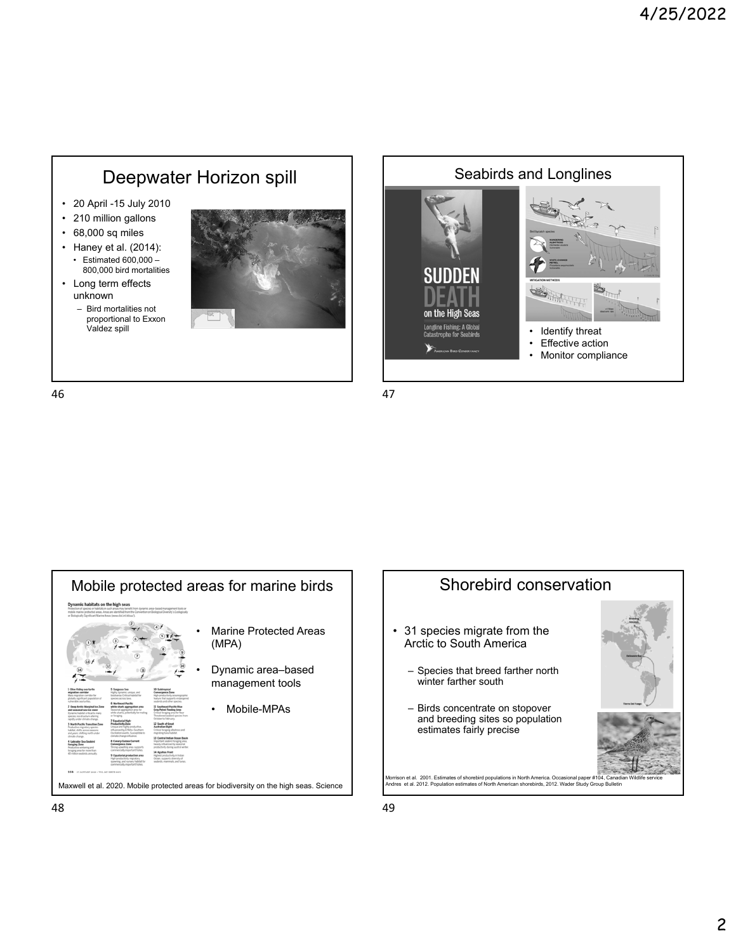

- 20 April -15 July 2010
- 210 million gallons
- 68,000 sq miles
- Haney et al. (2014): • Estimated 600,000 – 800,000 bird mortalities
- Long term effects unknown
	- Bird mortalities not proportional to Exxon Valdez spill